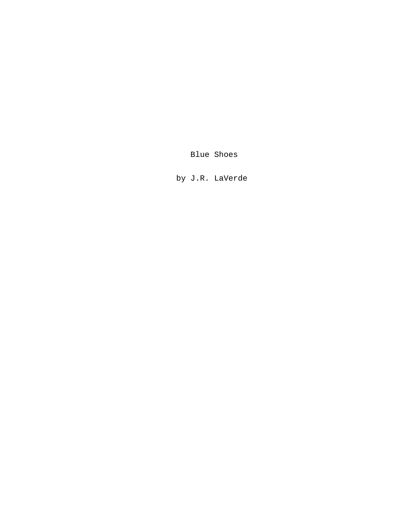Blue Shoes

by J.R. LaVerde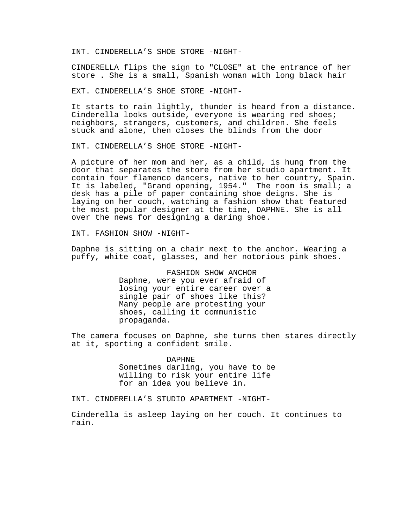INT. CINDERELLA'S SHOE STORE -NIGHT-

CINDERELLA flips the sign to "CLOSE" at the entrance of her store . She is a small, Spanish woman with long black hair

EXT. CINDERELLA'S SHOE STORE -NIGHT-

It starts to rain lightly, thunder is heard from a distance. Cinderella looks outside, everyone is wearing red shoes; neighbors, strangers, customers, and children. She feels stuck and alone, then closes the blinds from the door

INT. CINDERELLA'S SHOE STORE -NIGHT-

A picture of her mom and her, as a child, is hung from the door that separates the store from her studio apartment. It contain four flamenco dancers, native to her country, Spain. It is labeled, "Grand opening, 1954." The room is small; a desk has a pile of paper containing shoe deigns. She is laying on her couch, watching a fashion show that featured the most popular designer at the time, DAPHNE. She is all over the news for designing a daring shoe.

INT. FASHION SHOW -NIGHT-

Daphne is sitting on a chair next to the anchor. Wearing a puffy, white coat, glasses, and her notorious pink shoes.

> FASHION SHOW ANCHOR Daphne, were you ever afraid of losing your entire career over a single pair of shoes like this? Many people are protesting your shoes, calling it communistic propaganda.

The camera focuses on Daphne, she turns then stares directly at it, sporting a confident smile.

## DAPHNE

Sometimes darling, you have to be willing to risk your entire life for an idea you believe in.

INT. CINDERELLA'S STUDIO APARTMENT -NIGHT-

Cinderella is asleep laying on her couch. It continues to rain.